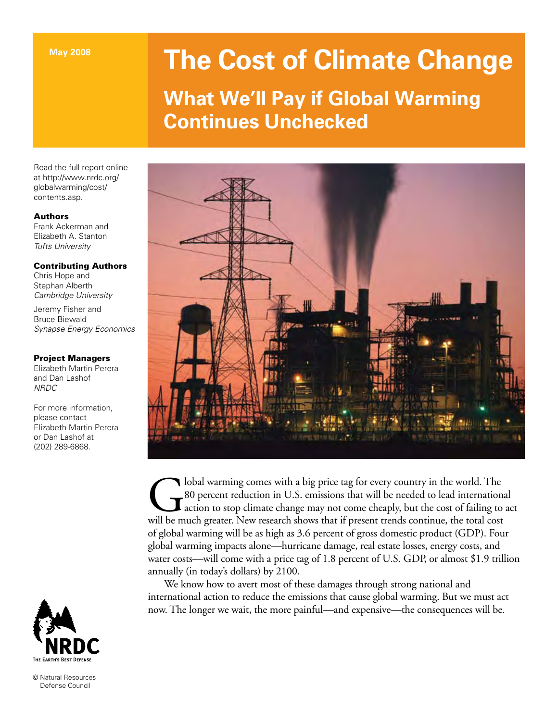# **The Cost of Climate Change**

# **What We'll Pay if Global Warming Continues Unchecked**

Read the full report online at http://www.nrdc.org/ globalwarming/cost/ contents.asp.

# Authors

Frank Ackerman and Elizabeth A. Stanton *Tufts University*

# Contributing Authors

Chris Hope and Stephan Alberth *Cambridge University*

Jeremy Fisher and Bruce Biewald *Synapse Energy Economics*

# Project Managers

Elizabeth Martin Perera and Dan Lashof *NRDC*

For more information, please contact Elizabeth Martin Perera or Dan Lashof at (202) 289-6868.



© Natural Resources Defense Council



Iobal warming comes with a big price tag for every country in the world. The 80 percent reduction in U.S. emissions that will be needed to lead internation action to stop climate change may not come cheaply, but the cost o 80 percent reduction in U.S. emissions that will be needed to lead international action to stop climate change may not come cheaply, but the cost of failing to act will be much greater. New research shows that if present trends continue, the total cost of global warming will be as high as 3.6 percent of gross domestic product (GDP). Four global warming impacts alone—hurricane damage, real estate losses, energy costs, and water costs—will come with a price tag of 1.8 percent of U.S. GDP, or almost \$1.9 trillion annually (in today's dollars) by 2100.

We know how to avert most of these damages through strong national and international action to reduce the emissions that cause global warming. But we must act now. The longer we wait, the more painful—and expensive—the consequences will be.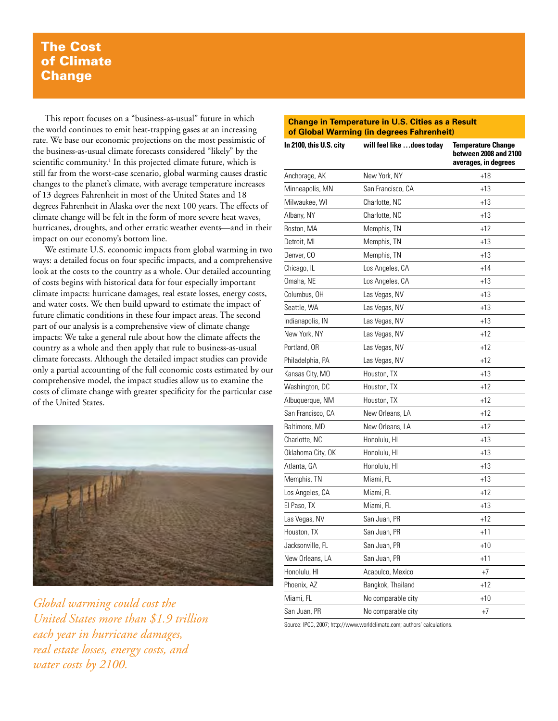# The Cost of Climate **Change**

This report focuses on a "business-as-usual" future in which the world continues to emit heat-trapping gases at an increasing rate. We base our economic projections on the most pessimistic of the business-as-usual climate forecasts considered "likely" by the scientific community.<sup>1</sup> In this projected climate future, which is still far from the worst-case scenario, global warming causes drastic changes to the planet's climate, with average temperature increases of 13 degrees Fahrenheit in most of the United States and 18 degrees Fahrenheit in Alaska over the next 100 years. The effects of climate change will be felt in the form of more severe heat waves, hurricanes, droughts, and other erratic weather events—and in their impact on our economy's bottom line.

We estimate U.S. economic impacts from global warming in two ways: a detailed focus on four specific impacts, and a comprehensive look at the costs to the country as a whole. Our detailed accounting of costs begins with historical data for four especially important climate impacts: hurricane damages, real estate losses, energy costs, and water costs. We then build upward to estimate the impact of future climatic conditions in these four impact areas. The second part of our analysis is a comprehensive view of climate change impacts: We take a general rule about how the climate affects the country as a whole and then apply that rule to business-as-usual climate forecasts. Although the detailed impact studies can provide only a partial accounting of the full economic costs estimated by our comprehensive model, the impact studies allow us to examine the costs of climate change with greater specificity for the particular case of the United States.



*Global warming could cost the United States more than \$1.9 trillion each year in hurricane damages, real estate losses, energy costs, and water costs by 2100.*

#### **Change in Temperature in U.S. Cities as a Result of Global Warming (in degrees Fahrenheit)**

| In 2100, this U.S. city | will feel like does today | <b>Temperature Change</b><br>between 2008 and 2100<br>averages, in degrees<br>$+18$ |  |  |
|-------------------------|---------------------------|-------------------------------------------------------------------------------------|--|--|
| Anchorage, AK           | New York, NY              |                                                                                     |  |  |
| Minneapolis, MN         | San Francisco, CA         | $+13$                                                                               |  |  |
| Milwaukee, WI           | Charlotte, NC             | $+13$                                                                               |  |  |
| Albany, NY              | Charlotte, NC             | $+13$                                                                               |  |  |
| Boston, MA              | Memphis, TN               | $+12$                                                                               |  |  |
| Detroit, MI             | Memphis, TN               | $+13$                                                                               |  |  |
| Denver, CO              | Memphis, TN               | $+13$                                                                               |  |  |
| Chicago, IL             | Los Angeles, CA           | $+14$                                                                               |  |  |
| Omaha, NE               | Los Angeles, CA           | $+13$                                                                               |  |  |
| Columbus, OH            | Las Vegas, NV             | $+13$                                                                               |  |  |
| Seattle, WA             | Las Vegas, NV             | $+13$                                                                               |  |  |
| Indianapolis, IN        | Las Vegas, NV             | $+13$                                                                               |  |  |
| New York, NY            | Las Vegas, NV             | $+12$                                                                               |  |  |
| Portland, OR            | Las Vegas, NV             | $+12$                                                                               |  |  |
| Philadelphia, PA        | Las Vegas, NV             | $+12$                                                                               |  |  |
| Kansas City, MO         | Houston, TX               | $+13$                                                                               |  |  |
| Washington, DC          | Houston, TX               | $+12$                                                                               |  |  |
| Albuquerque, NM         | Houston, TX               | $+12$                                                                               |  |  |
| San Francisco, CA       | New Orleans, LA           | $+12$                                                                               |  |  |
| Baltimore, MD           | New Orleans, LA           | +12                                                                                 |  |  |
| Charlotte, NC           | Honolulu, HI              | $+13$                                                                               |  |  |
| Oklahoma City, OK       | Honolulu, HI              | $+13$                                                                               |  |  |
| Atlanta, GA             | Honolulu, HI              | $+13$                                                                               |  |  |
| Memphis, TN             | Miami, FL                 | $+13$                                                                               |  |  |
| Los Angeles, CA         | Miami, FL                 | $+12$                                                                               |  |  |
| El Paso, TX             | Miami, FL                 | $+13$                                                                               |  |  |
| Las Vegas, NV           | San Juan, PR              | $+12$                                                                               |  |  |
| Houston, TX             | San Juan, PR              | $+11$                                                                               |  |  |
| Jacksonville, FL        | San Juan, PR              | $+10$                                                                               |  |  |
| New Orleans, LA         | San Juan, PR              | $+11$                                                                               |  |  |
| Honolulu, HI            | Acapulco, Mexico          | $+7$                                                                                |  |  |
| Phoenix, AZ             | Bangkok, Thailand         | $+12$                                                                               |  |  |
| Miami, FL               | No comparable city        | $+10$                                                                               |  |  |
| San Juan, PR            | No comparable city        | $+7$                                                                                |  |  |

Source: IPCC, 2007; http://www.worldclimate.com; authors' calculations.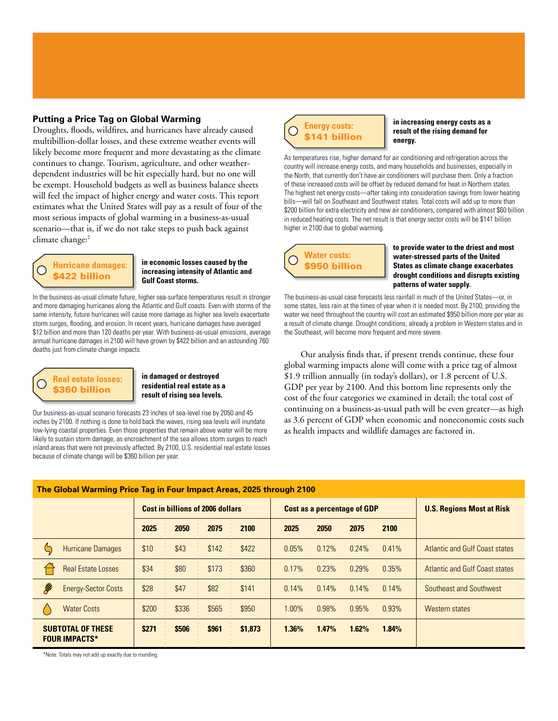#### **Putting a Price Tag on Global Warming**

Droughts, floods, wildfires, and hurricanes have already caused multibillion-dollar losses, and these extreme weather events will likely become more frequent and more devastating as the climate continues to change. Tourism, agriculture, and other weatherdependent industries will be hit especially hard, but no one will be exempt. Household budgets as well as business balance sheets will feel the impact of higher energy and water costs. This report estimates what the United States will pay as a result of four of the most serious impacts of global warming in a business-as-usual scenario—that is, if we do not take steps to push back against climate change:<sup>2</sup>

# **Hurricane damages:**  \$422 billion

#### **in economic losses caused by the increasing intensity of Atlantic and Gulf Coast storms.**

In the business-as-usual climate future, higher sea-surface temperatures result in stronger and more damaging hurricanes along the Atlantic and Gulf coasts. Even with storms of the same intensity, future hurricanes will cause more damage as higher sea levels exacerbate storm surges, flooding, and erosion. In recent years, hurricane damages have averaged \$12 billion and more than 120 deaths per year. With business-as-usual emissions, average annual hurricane damages in 2100 will have grown by \$422 billion and an astounding 760 deaths just from climate change impacts.

# **Real estate losses:**  \$360 billion

#### **in damaged or destroyed residential real estate as a result of rising sea levels.**

Our business-as-usual scenario forecasts 23 inches of sea-level rise by 2050 and 45 inches by 2100. If nothing is done to hold back the waves, rising sea levels will inundate low-lying coastal properties. Even those properties that remain above water will be more likely to sustain storm damage, as encroachment of the sea allows storm surges to reach inland areas that were not previously affected. By 2100, U.S. residential real estate losses because of climate change will be \$360 billion per year.



**in increasing energy costs as a result of the rising demand for energy.**

As temperatures rise, higher demand for air conditioning and refrigeration across the country will increase energy costs, and many households and businesses, especially in the North, that currently don't have air conditioners will purchase them. Only a fraction of these increased costs will be offset by reduced demand for heat in Northern states. The highest net energy costs—after taking into consideration savings from lower heating bills—will fall on Southeast and Southwest states. Total costs will add up to more than \$200 billion for extra electricity and new air conditioners, compared with almost \$60 billion in reduced heating costs. The net result is that energy sector costs will be \$141 billion higher in 2100 due to global warming.

**Water costs:**  \$950 billion **to provide water to the driest and most water-stressed parts of the United States as climate change exacerbates drought conditions and disrupts existing patterns of water supply.** 

The business-as-usual case forecasts less rainfall in much of the United States—or, in some states, less rain at the times of year when it is needed most. By 2100, providing the water we need throughout the country will cost an estimated \$950 billion more per year as a result of climate change. Drought conditions, already a problem in Western states and in the Southeast, will become more frequent and more severe.

Our analysis finds that, if present trends continue, these four global warming impacts alone will come with a price tag of almost \$1.9 trillion annually (in today's dollars), or 1.8 percent of U.S. GDP per year by 2100. And this bottom line represents only the cost of the four categories we examined in detail; the total cost of continuing on a business-as-usual path will be even greater—as high as 3.6 percent of GDP when economic and noneconomic costs such as health impacts and wildlife damages are factored in.

| The Global Warming Price Tag in Four Impact Areas, 2025 through 2100 |                                         |       |       |                                    |       |          |                                  |          |                                |  |
|----------------------------------------------------------------------|-----------------------------------------|-------|-------|------------------------------------|-------|----------|----------------------------------|----------|--------------------------------|--|
|                                                                      | <b>Cost in billions of 2006 dollars</b> |       |       | <b>Cost as a percentage of GDP</b> |       |          | <b>U.S. Regions Most at Risk</b> |          |                                |  |
|                                                                      | 2025                                    | 2050  | 2075  | 2100                               | 2025  | 2050     | 2075                             | 2100     |                                |  |
| <b>Hurricane Damages</b>                                             | \$10                                    | \$43  | \$142 | \$422                              | 0.05% | 0.12%    | 0.24%                            | 0.41%    | Atlantic and Gulf Coast states |  |
| <b>Real Estate Losses</b>                                            | \$34                                    | \$80  | \$173 | \$360                              | 0.17% | 0.23%    | 0.29%                            | 0.35%    | Atlantic and Gulf Coast states |  |
| R<br><b>Energy-Sector Costs</b>                                      | \$28                                    | \$47  | \$82  | \$141                              | 0.14% | $0.14\%$ | 0.14%                            | $0.14\%$ | Southeast and Southwest        |  |
| <b>Water Costs</b>                                                   | \$200                                   | \$336 | \$565 | \$950                              | 1.00% | 0.98%    | 0.95%                            | 0.93%    | Western states                 |  |
| <b>SUBTOTAL OF THESE</b><br><b>FOUR IMPACTS*</b>                     | \$271                                   | \$506 | \$961 | \$1,873                            | 1.36% | 1.47%    | 1.62%                            | 1.84%    |                                |  |

\*Note: Totals may not add up exactly due to rounding.